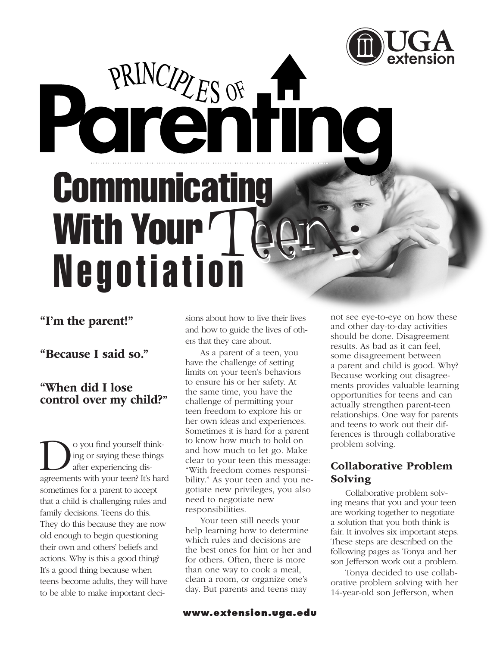# PRINCIPLES OF THE IN **Communicating** With Your Teen:

# "I'm the parent!"

"Because I said so."

## "When did I lose control over my child?"

O you find yourself think-<br>ing or saying these things<br>are experiencing dis-<br>are ements with your teen? It's har ing or saying these things after experiencing disagreements with your teen? It's hard sometimes for a parent to accept that a child is challenging rules and family decisions. Teens do this. They do this because they are now old enough to begin questioning their own and others' beliefs and actions. Why is this a good thing? It's a good thing because when teens become adults, they will have to be able to make important decisions about how to live their lives and how to guide the lives of others that they care about.

As a parent of a teen, you have the challenge of setting limits on your teen's behaviors to ensure his or her safety. At the same time, you have the challenge of permitting your teen freedom to explore his or her own ideas and experiences. Sometimes it is hard for a parent to know how much to hold on and how much to let go. Make clear to your teen this message: "With freedom comes responsibility." As your teen and you negotiate new privileges, you also need to negotiate new responsibilities.

Your teen still needs your help learning how to determine which rules and decisions are the best ones for him or her and for others. Often, there is more than one way to cook a meal, clean a room, or organize one's day. But parents and teens may

not see eye-to-eye on how these and other day-to-day activities should be done. Disagreement results. As bad as it can feel, some disagreement between a parent and child is good. Why? Because working out disagreements provides valuable learning opportunities for teens and can actually strengthen parent-teen relationships. One way for parents and teens to work out their differences is through collaborative problem solving.

### Collaborative Problem Solving

Collaborative problem solving means that you and your teen are working together to negotiate a solution that you both think is fair. It involves six important steps. These steps are described on the following pages as Tonya and her son Jefferson work out a problem.

Tonya decided to use collaborative problem solving with her 14-year-old son Jefferson, when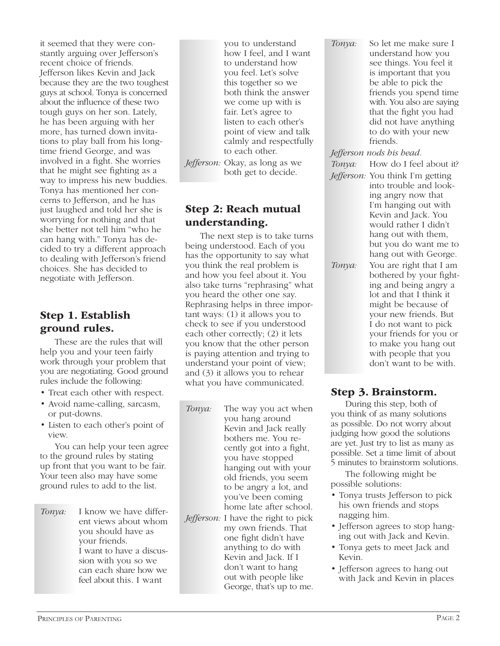it seemed that they were constantly arguing over Jefferson's recent choice of friends. Jefferson likes Kevin and Jack because they are the two toughest guys at school. Tonya is concerned about the influence of these two tough guys on her son. Lately, he has been arguing with her more, has turned down invitations to play ball from his longtime friend George, and was involved in a fight. She worries that he might see fighting as a way to impress his new buddies. Tonya has mentioned her concerns to Jefferson, and he has just laughed and told her she is worrying for nothing and that she better not tell him "who he can hang with." Tonya has decided to try a different approach to dealing with Jefferson's friend choices. She has decided to negotiate with Jefferson.

### Step 1. Establish ground rules.

These are the rules that will help you and your teen fairly work through your problem that you are negotiating. Good ground rules include the following:

- Treat each other with respect.
- Avoid name-calling, sarcasm, or put-downs.
- Listen to each other's point of view.

You can help your teen agree to the ground rules by stating up front that you want to be fair. Your teen also may have some ground rules to add to the list.

*Tonya:* I know we have different views about whom you should have as your friends. I want to have a discussion with you so we can each share how we feel about this. I want

you to understand how I feel, and I want to understand how you feel. Let's solve this together so we both think the answer we come up with is fair. Let's agree to listen to each other's point of view and talk calmly and respectfully to each other.

*Jefferson:* Okay, as long as we both get to decide.

### Step 2: Reach mutual understanding.

The next step is to take turns being understood. Each of you has the opportunity to say what you think the real problem is and how you feel about it. You also take turns "rephrasing" what you heard the other one say. Rephrasing helps in three important ways: (1) it allows you to check to see if you understood each other correctly; (2) it lets you know that the other person is paying attention and trying to understand your point of view; and (3) it allows you to rehear what you have communicated.

- *Tonya:* The way you act when you hang around Kevin and Jack really bothers me. You recently got into a fight, you have stopped hanging out with your old friends, you seem to be angry a lot, and you've been coming home late after school.
- *Jefferson:* I have the right to pick my own friends. That one fight didn't have anything to do with Kevin and Jack. If I don't want to hang out with people like George, that's up to me.

*Tonya:* So let me make sure I understand how you see things. You feel it is important that you be able to pick the friends you spend time with. You also are saying that the fight you had did not have anything to do with your new friends.

### *Jefferson nods his head.*

*Tonya:* How do I feel about it?

- *Jefferson:* You think I'm getting into trouble and looking angry now that I'm hanging out with Kevin and Jack. You would rather I didn't hang out with them, but you do want me to hang out with George.
- *Tonya:* You are right that I am bothered by your fighting and being angry a lot and that I think it might be because of your new friends. But I do not want to pick your friends for you or to make you hang out with people that you don't want to be with.

### Step 3. Brainstorm.

During this step, both of you think of as many solutions as possible. Do not worry about judging how good the solutions are yet. Just try to list as many as possible. Set a time limit of about 5 minutes to brainstorm solutions.

The following might be possible solutions:

- Tonya trusts Jefferson to pick his own friends and stops nagging him.
- Jefferson agrees to stop hanging out with Jack and Kevin.
- Tonya gets to meet Jack and Kevin.
- Jefferson agrees to hang out with Jack and Kevin in places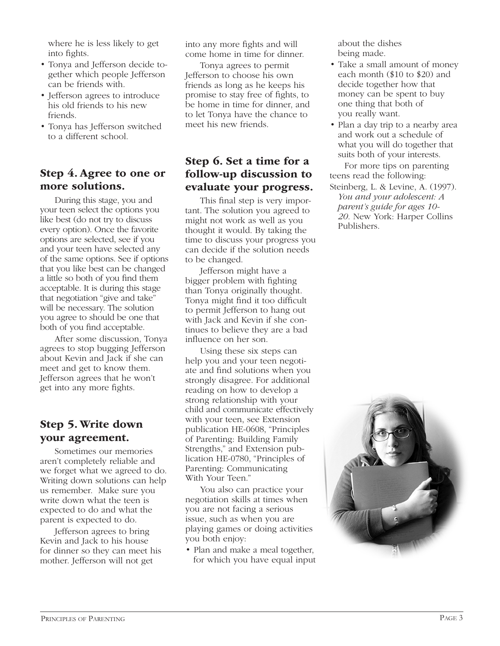where he is less likely to get into fights.

- Tonya and Jefferson decide together which people Jefferson can be friends with.
- Jefferson agrees to introduce his old friends to his new friends.
- Tonya has Jefferson switched to a different school.

### Step 4. Agree to one or more solutions.

During this stage, you and your teen select the options you like best (do not try to discuss every option). Once the favorite options are selected, see if you and your teen have selected any of the same options. See if options that you like best can be changed a little so both of you find them acceptable. It is during this stage that negotiation "give and take" will be necessary. The solution you agree to should be one that both of you find acceptable.

After some discussion, Tonya agrees to stop bugging Jefferson about Kevin and Jack if she can meet and get to know them. Jefferson agrees that he won't get into any more fights.

### Step 5. Write down your agreement.

Sometimes our memories aren't completely reliable and we forget what we agreed to do. Writing down solutions can help us remember. Make sure you write down what the teen is expected to do and what the parent is expected to do.

Jefferson agrees to bring Kevin and Jack to his house for dinner so they can meet his mother. Jefferson will not get

into any more fights and will come home in time for dinner.

Tonya agrees to permit Jefferson to choose his own friends as long as he keeps his promise to stay free of fights, to be home in time for dinner, and to let Tonya have the chance to meet his new friends.

### Step 6. Set a time for a follow-up discussion to evaluate your progress.

This final step is very important. The solution you agreed to might not work as well as you thought it would. By taking the time to discuss your progress you can decide if the solution needs to be changed.

Jefferson might have a bigger problem with fighting than Tonya originally thought. Tonya might find it too difficult to permit Jefferson to hang out with Jack and Kevin if she continues to believe they are a bad influence on her son.

Using these six steps can help you and your teen negotiate and find solutions when you strongly disagree. For additional reading on how to develop a strong relationship with your child and communicate effectively with your teen, see Extension publication HE-0608, "Principles of Parenting: Building Family Strengths," and Extension publication HE-0780, "Principles of Parenting: Communicating With Your Teen."

You also can practice your negotiation skills at times when you are not facing a serious issue, such as when you are playing games or doing activities you both enjoy:

• Plan and make a meal together, for which you have equal input about the dishes being made.

- Take a small amount of money each month (\$10 to \$20) and decide together how that money can be spent to buy one thing that both of you really want.
- Plan a day trip to a nearby area and work out a schedule of what you will do together that suits both of your interests.

For more tips on parenting teens read the following:

Steinberg, L. & Levine, A. (1997). *You and your adolescent: A parent's guide for ages 10- 20.* New York: Harper Collins Publishers.